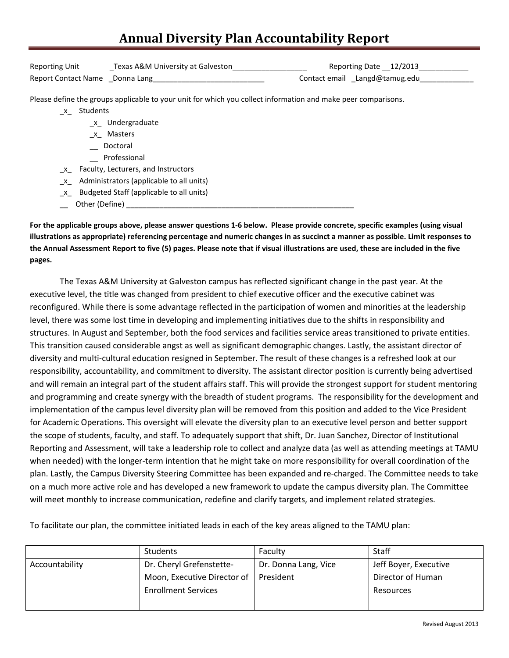## **Annual Diversity Plan Accountability Report**

| <b>Reporting Unit</b>          | Texas A&M University at Galveston | Reporting Date 12/2013        |
|--------------------------------|-----------------------------------|-------------------------------|
| Report Contact Name Donna Lang |                                   | Contact email Langd@tamug.edu |

Please define the groups applicable to your unit for which you collect information and make peer comparisons.

- \_x\_ Students
	- \_x\_ Undergraduate
	- \_x\_ Masters
	- \_\_ Doctoral
	- \_\_ Professional
- \_x\_ Faculty, Lecturers, and Instructors
- \_x\_ Administrators (applicable to all units)
- \_x\_ Budgeted Staff (applicable to all units)
- $\Box$  Other (Define)  $\Box$

**For the applicable groups above, please answer questions 1-6 below. Please provide concrete, specific examples (using visual illustrations as appropriate) referencing percentage and numeric changes in as succinct a manner as possible. Limit responses to the Annual Assessment Report to five (5) pages. Please note that if visual illustrations are used, these are included in the five pages.**

The Texas A&M University at Galveston campus has reflected significant change in the past year. At the executive level, the title was changed from president to chief executive officer and the executive cabinet was reconfigured. While there is some advantage reflected in the participation of women and minorities at the leadership level, there was some lost time in developing and implementing initiatives due to the shifts in responsibility and structures. In August and September, both the food services and facilities service areas transitioned to private entities. This transition caused considerable angst as well as significant demographic changes. Lastly, the assistant director of diversity and multi-cultural education resigned in September. The result of these changes is a refreshed look at our responsibility, accountability, and commitment to diversity. The assistant director position is currently being advertised and will remain an integral part of the student affairs staff. This will provide the strongest support for student mentoring and programming and create synergy with the breadth of student programs. The responsibility for the development and implementation of the campus level diversity plan will be removed from this position and added to the Vice President for Academic Operations. This oversight will elevate the diversity plan to an executive level person and better support the scope of students, faculty, and staff. To adequately support that shift, Dr. Juan Sanchez, Director of Institutional Reporting and Assessment, will take a leadership role to collect and analyze data (as well as attending meetings at TAMU when needed) with the longer-term intention that he might take on more responsibility for overall coordination of the plan. Lastly, the Campus Diversity Steering Committee has been expanded and re-charged. The Committee needs to take on a much more active role and has developed a new framework to update the campus diversity plan. The Committee will meet monthly to increase communication, redefine and clarify targets, and implement related strategies.

To facilitate our plan, the committee initiated leads in each of the key areas aligned to the TAMU plan:

|                | <b>Students</b>             | Faculty              | <b>Staff</b>          |
|----------------|-----------------------------|----------------------|-----------------------|
| Accountability | Dr. Cheryl Grefenstette-    | Dr. Donna Lang, Vice | Jeff Boyer, Executive |
|                | Moon, Executive Director of | President            | Director of Human     |
|                | <b>Enrollment Services</b>  |                      | Resources             |
|                |                             |                      |                       |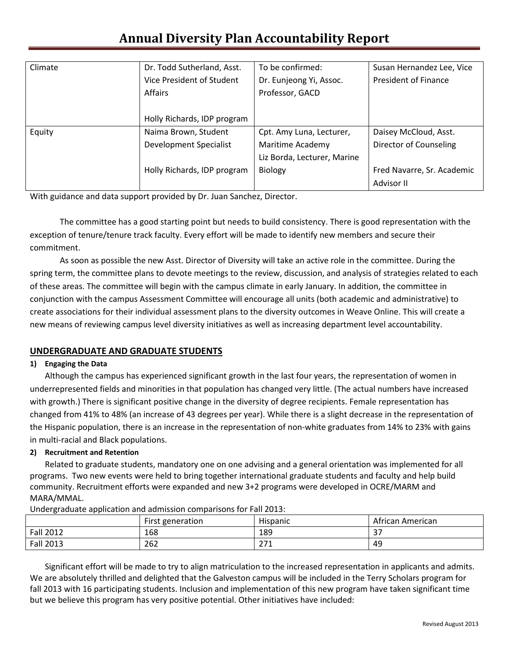# **Annual Diversity Plan Accountability Report**

| Climate | Dr. Todd Sutherland, Asst.  | To be confirmed:            | Susan Hernandez Lee, Vice   |
|---------|-----------------------------|-----------------------------|-----------------------------|
|         | Vice President of Student   | Dr. Eunjeong Yi, Assoc.     | <b>President of Finance</b> |
|         | <b>Affairs</b>              | Professor, GACD             |                             |
|         |                             |                             |                             |
|         | Holly Richards, IDP program |                             |                             |
| Equity  | Naima Brown, Student        | Cpt. Amy Luna, Lecturer,    | Daisey McCloud, Asst.       |
|         | Development Specialist      | Maritime Academy            | Director of Counseling      |
|         |                             | Liz Borda, Lecturer, Marine |                             |
|         | Holly Richards, IDP program | <b>Biology</b>              | Fred Navarre, Sr. Academic  |
|         |                             |                             | Advisor II                  |

With guidance and data support provided by Dr. Juan Sanchez, Director.

The committee has a good starting point but needs to build consistency. There is good representation with the exception of tenure/tenure track faculty. Every effort will be made to identify new members and secure their commitment.

As soon as possible the new Asst. Director of Diversity will take an active role in the committee. During the spring term, the committee plans to devote meetings to the review, discussion, and analysis of strategies related to each of these areas. The committee will begin with the campus climate in early January. In addition, the committee in conjunction with the campus Assessment Committee will encourage all units (both academic and administrative) to create associations for their individual assessment plans to the diversity outcomes in Weave Online. This will create a new means of reviewing campus level diversity initiatives as well as increasing department level accountability.

## **UNDERGRADUATE AND GRADUATE STUDENTS**

#### **1) Engaging the Data**

Although the campus has experienced significant growth in the last four years, the representation of women in underrepresented fields and minorities in that population has changed very little. (The actual numbers have increased with growth.) There is significant positive change in the diversity of degree recipients. Female representation has changed from 41% to 48% (an increase of 43 degrees per year). While there is a slight decrease in the representation of the Hispanic population, there is an increase in the representation of non-white graduates from 14% to 23% with gains in multi-racial and Black populations.

#### **2) Recruitment and Retention**

Related to graduate students, mandatory one on one advising and a general orientation was implemented for all programs. Two new events were held to bring together international graduate students and faculty and help build community. Recruitment efforts were expanded and new 3+2 programs were developed in OCRE/MARM and MARA/MMAL.

|                  | First generation | .<br><b>Hispanic</b> | African American         |
|------------------|------------------|----------------------|--------------------------|
| <b>Fall 2012</b> | 168              | 189                  | $\mathbin{\lnot}$<br>، ب |
| <b>Fall 2013</b> | 262              | つつり<br><u> 41 T</u>  | 49                       |

Undergraduate application and admission comparisons for Fall 2013:

Significant effort will be made to try to align matriculation to the increased representation in applicants and admits. We are absolutely thrilled and delighted that the Galveston campus will be included in the Terry Scholars program for fall 2013 with 16 participating students. Inclusion and implementation of this new program have taken significant time but we believe this program has very positive potential. Other initiatives have included: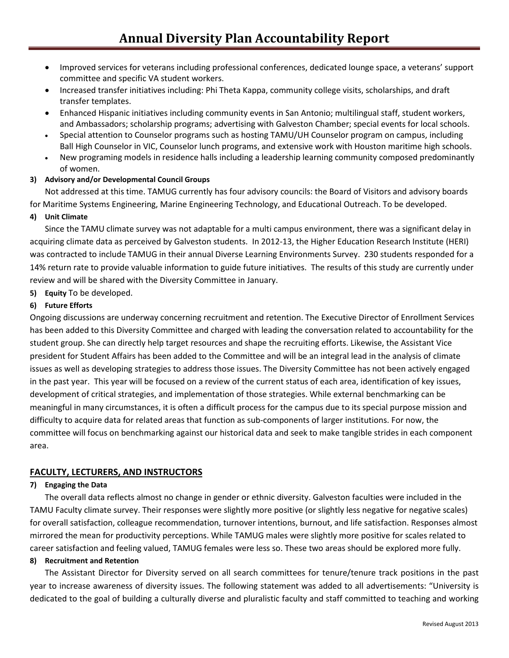- Improved services for veterans including professional conferences, dedicated lounge space, a veterans' support committee and specific VA student workers.
- Increased transfer initiatives including: Phi Theta Kappa, community college visits, scholarships, and draft transfer templates.
- Enhanced Hispanic initiatives including community events in San Antonio; multilingual staff, student workers, and Ambassadors; scholarship programs; advertising with Galveston Chamber; special events for local schools.
- Special attention to Counselor programs such as hosting TAMU/UH Counselor program on campus, including Ball High Counselor in VIC, Counselor lunch programs, and extensive work with Houston maritime high schools.
- New programing models in residence halls including a leadership learning community composed predominantly of women.
- **3) Advisory and/or Developmental Council Groups**

Not addressed at this time. TAMUG currently has four advisory councils: the Board of Visitors and advisory boards for Maritime Systems Engineering, Marine Engineering Technology, and Educational Outreach. To be developed.

## **4) Unit Climate**

Since the TAMU climate survey was not adaptable for a multi campus environment, there was a significant delay in acquiring climate data as perceived by Galveston students. In 2012-13, the Higher Education Research Institute (HERI) was contracted to include TAMUG in their annual Diverse Learning Environments Survey. 230 students responded for a 14% return rate to provide valuable information to guide future initiatives. The results of this study are currently under review and will be shared with the Diversity Committee in January.

**5) Equity** To be developed.

## **6) Future Efforts**

Ongoing discussions are underway concerning recruitment and retention. The Executive Director of Enrollment Services has been added to this Diversity Committee and charged with leading the conversation related to accountability for the student group. She can directly help target resources and shape the recruiting efforts. Likewise, the Assistant Vice president for Student Affairs has been added to the Committee and will be an integral lead in the analysis of climate issues as well as developing strategies to address those issues. The Diversity Committee has not been actively engaged in the past year. This year will be focused on a review of the current status of each area, identification of key issues, development of critical strategies, and implementation of those strategies. While external benchmarking can be meaningful in many circumstances, it is often a difficult process for the campus due to its special purpose mission and difficulty to acquire data for related areas that function as sub-components of larger institutions. For now, the committee will focus on benchmarking against our historical data and seek to make tangible strides in each component area.

## **FACULTY, LECTURERS, AND INSTRUCTORS**

#### **7) Engaging the Data**

The overall data reflects almost no change in gender or ethnic diversity. Galveston faculties were included in the TAMU Faculty climate survey. Their responses were slightly more positive (or slightly less negative for negative scales) for overall satisfaction, colleague recommendation, turnover intentions, burnout, and life satisfaction. Responses almost mirrored the mean for productivity perceptions. While TAMUG males were slightly more positive for scales related to career satisfaction and feeling valued, TAMUG females were less so. These two areas should be explored more fully.

#### **8) Recruitment and Retention**

The Assistant Director for Diversity served on all search committees for tenure/tenure track positions in the past year to increase awareness of diversity issues. The following statement was added to all advertisements: "University is dedicated to the goal of building a culturally diverse and pluralistic faculty and staff committed to teaching and working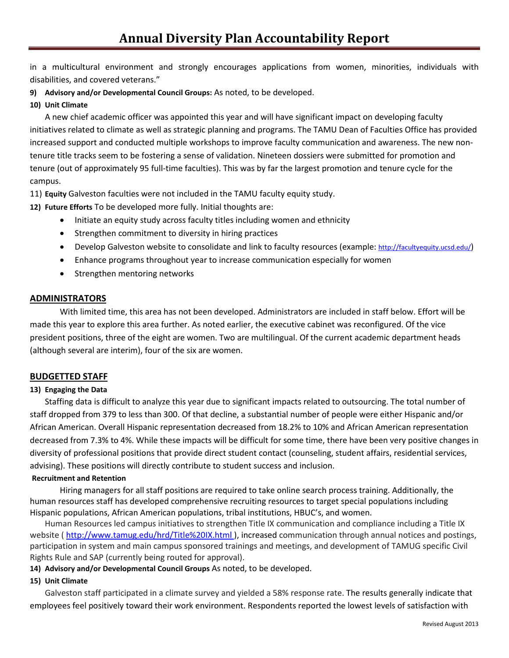in a multicultural environment and strongly encourages applications from women, minorities, individuals with disabilities, and covered veterans."

**9) Advisory and/or Developmental Council Groups:** As noted, to be developed.

### **10) Unit Climate**

A new chief academic officer was appointed this year and will have significant impact on developing faculty initiatives related to climate as well as strategic planning and programs. The TAMU Dean of Faculties Office has provided increased support and conducted multiple workshops to improve faculty communication and awareness. The new nontenure title tracks seem to be fostering a sense of validation. Nineteen dossiers were submitted for promotion and tenure (out of approximately 95 full-time faculties). This was by far the largest promotion and tenure cycle for the campus.

11) **Equity** Galveston faculties were not included in the TAMU faculty equity study.

**12) Future Efforts** To be developed more fully. Initial thoughts are:

- Initiate an equity study across faculty titles including women and ethnicity
- Strengthen commitment to diversity in hiring practices
- Develop Galveston website to consolidate and link to faculty resources (example: [http://facultyequity.ucsd.edu/\)](http://facultyequity.ucsd.edu/)
- Enhance programs throughout year to increase communication especially for women
- Strengthen mentoring networks

#### **ADMINISTRATORS**

With limited time, this area has not been developed. Administrators are included in staff below. Effort will be made this year to explore this area further. As noted earlier, the executive cabinet was reconfigured. Of the vice president positions, three of the eight are women. Two are multilingual. Of the current academic department heads (although several are interim), four of the six are women.

#### **BUDGETTED STAFF**

#### **13) Engaging the Data**

Staffing data is difficult to analyze this year due to significant impacts related to outsourcing. The total number of staff dropped from 379 to less than 300. Of that decline, a substantial number of people were either Hispanic and/or African American. Overall Hispanic representation decreased from 18.2% to 10% and African American representation decreased from 7.3% to 4%. While these impacts will be difficult for some time, there have been very positive changes in diversity of professional positions that provide direct student contact (counseling, student affairs, residential services, advising). These positions will directly contribute to student success and inclusion.

#### **Recruitment and Retention**

Hiring managers for all staff positions are required to take online search process training. Additionally, the human resources staff has developed comprehensive recruiting resources to target special populations including Hispanic populations, African American populations, tribal institutions, HBUC's, and women.

Human Resources led campus initiatives to strengthen Title IX communication and compliance including a Title IX website ( <http://www.tamug.edu/hrd/Title%20IX.html> ), increased communication through annual notices and postings, participation in system and main campus sponsored trainings and meetings, and development of TAMUG specific Civil Rights Rule and SAP (currently being routed for approval).

**14) Advisory and/or Developmental Council Groups** As noted, to be developed.

#### **15) Unit Climate**

Galveston staff participated in a climate survey and yielded a 58% response rate. The results generally indicate that employees feel positively toward their work environment. Respondents reported the lowest levels of satisfaction with